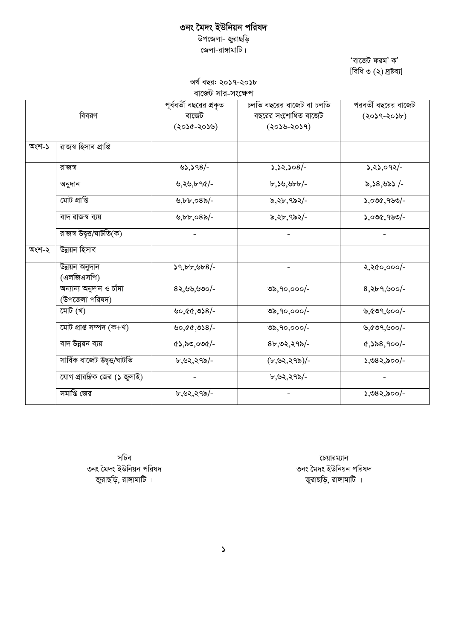# ৩নং মৈদং ইউনিয়ন পরিষদ

উপজেলা- জুরাছড়ি জেলা-রাঙ্গামাটি।

> 'বাজেট ফরম' ক' [বিধি ৩ (২) দ্ৰষ্টব্য]

অৰ্থ বছর: ২০১৭-২০১৮ বাজেট সার-সংক্ষেপ

|       | বিবরণ                                     | পূর্ববর্তী বছরের প্রকৃত<br>বাজেট<br>(২০১৫-২০১৬) | চলতি বছরের বাজেট বা চলতি<br>বছরের সংশোধিত বাজেট<br>$(205 - 2059)$ | পরবর্তী বছরের বাজেট<br>$(2059 - 2056)$ |
|-------|-------------------------------------------|-------------------------------------------------|-------------------------------------------------------------------|----------------------------------------|
| অংশ-১ | রাজস্ব হিসাব প্রাপ্তি                     |                                                 |                                                                   |                                        |
|       | রাজস্ব                                    | $32,398/-$                                      | $5,52,508/-$                                                      | $3,83,092/-$                           |
|       | অনুদান                                    | ৬,২৬,৮৭৫/-                                      | $b,$ $b,$ $b$ $b$ $b$ $b$ $c$                                     | ৯,১৪,৬৯১ /-                            |
|       | মোট প্ৰাপ্তি                              | $b, b, c8$ %/-                                  | ৯,২৮,৭৯২/-                                                        | $5,000,900/-$                          |
|       | বাদ রাজস্ব ব্যয়                          | $\frac{1}{2}$ .085/-                            | ৯,২৮,৭৯২/-                                                        | $5,000,900/-$                          |
|       | রাজস্ব উদ্বৃত্ত/ঘাটতি(ক)                  |                                                 |                                                                   |                                        |
| অংশ-২ | উন্নয়ন হিসাব                             |                                                 |                                                                   |                                        |
|       | উন্নয়ন অনুদান<br>(এলজিএসপি)              | 59, b b, 668                                    | $\blacksquare$                                                    | २,२৫०,०००/-                            |
|       | অন্যান্য অনুদান ও চাঁদা<br>(উপজেলা পরিষদ) | $82,99,990/-$                                   | ৩৯,৭০,০০০/-                                                       | $8,869,800$ -                          |
|       | মোট (খ)                                   | ৬০,৫৫,৩১৪/-                                     | ৩৯,৭০,০০০/-                                                       | ৬,৫৩৭,৬০০/-                            |
|       | মোট প্ৰাপ্ত সম্পদ (ক+খ)                   | ৬০,৫৫,৩১৪/-                                     | ৩৯,৭০,০০০/-                                                       | ৬,৫৩৭,৬০০/-                            |
|       | বাদ উন্নয়ন ব্যয়                         | (8), 80, 000                                    | $8b, 02, 29b$ -                                                   | $(0,558,900)$ -                        |
|       | সাৰ্বিক বাজেট উদ্বত্ত/ঘাটতি               | ৮,৬২,২৭৯/-                                      | (b, b2, 295)                                                      | $5,085,000$ -                          |
|       | যোগ প্রারম্ভিক জের (১ জুলাই)              |                                                 | ৮,৬২,২৭৯/-                                                        |                                        |
|       | সমাপ্তি জের                               | ৮,৬২,২৭৯/-                                      |                                                                   | $5,082,800/-$                          |

সচিব ৩নং মৈদং ইউনিয়ন পরিষদ জুরাছড়ি, রাঙ্গামাটি ।

চেয়ারম্যান ৩নং মৈদং ইউনিয়ন পরিষদ জুরাছড়ি, রাঙ্গামাটি ।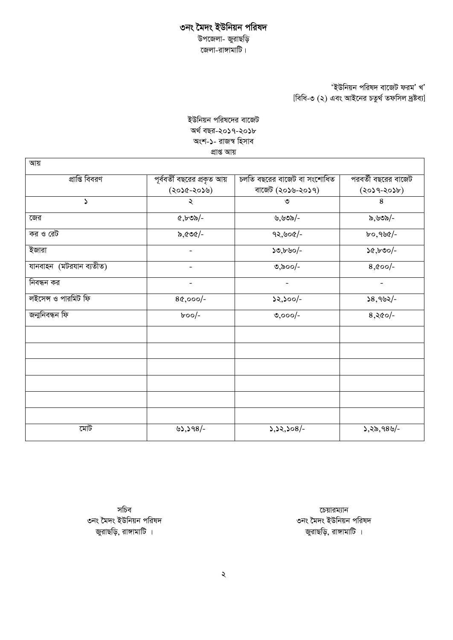#### ৩নং মৈদং ইউনিয়ন পরিষদ *Dc‡Rjv- RyivQwo জে*লা-রাঙ্গামাটি।

### *'ইউ*নিয়ন পরিষদ বাজেট ফরম' খ' *[বিধি-*৩ (২) এবং আইনের চতুর্থ তফসিল দ্রষ্টব্য]

#### *ইউ*নিয়ন পরিষদের বাজেট *A\_© eQi-2017-2018 Ask-1- ivR¯^ wnmve* প্ৰাপ্ত আয়

| প্রাপ্তি বিবরণ          | পূর্ববর্তী বছরের প্রকৃত আয় | চলতি বছরের বাজেট বা সংশোধিত | পরবর্তী বছরের বাজেট |
|-------------------------|-----------------------------|-----------------------------|---------------------|
|                         | (২০১৫-২০১৬)                 | বাজেট (২০১৬-২০১৭)           | $(3059 - 2056)$     |
| $\mathcal{L}$           | ২                           | ৩                           | 8                   |
| জের                     | ৫,৮৩৯/-                     | ৬,৬৩৯/-                     | ৯,৬৩৯/-             |
| কর ও রেট                | ৯,৫৩৫/-                     | $92,800/-$                  | $b$ ০, ৭৬৫/-        |
| ইজারা                   | $\blacksquare$              | $50,650/-$                  | $50,500/-$          |
| যানবাহন (মটরযান ব্যতীত) | $\blacksquare$              | ৩,৯০০/-                     | $8,000$ -           |
| নিবন্ধন কর              | $\blacksquare$              | $\blacksquare$              | $\blacksquare$      |
| লইসেন্স ও পারমিট ফি     | $80,000/-$                  | $52,500/-$                  | $58,992/-$          |
| জন্মনিবন্ধন ফি          | $b$ oo/-                    | $0,000/-$                   | $8,80/$ -           |
|                         |                             |                             |                     |
|                         |                             |                             |                     |
|                         |                             |                             |                     |
|                         |                             |                             |                     |
|                         |                             |                             |                     |
| মোট                     | $3,398/-$                   | $3,32,308/-$                | $5,25,989/$ -       |

সচিব ৩নং মৈদং ইউনিয়ন পরিষদ জুরাছড়ি, রাঙ্গামাটি ।

 $\overline{\text{c}}$ চয়ারম্যান ৩নং মৈদং ইউনিয়ন পরিষদ জুরাছড়ি, রাঙ্গামাটি ।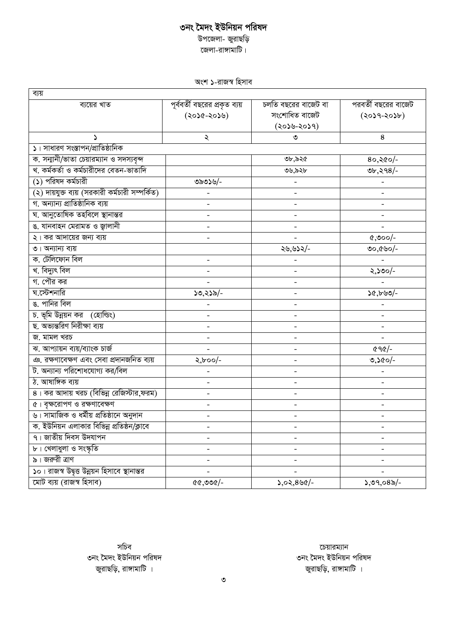### ৩নং মৈদং ইউনিয়ন পরিষদ *Dc‡Rjv- RyivQwo কে*লা-রাঙ্গামাটি।

সংশ **১**-রাজস্ব হিসাব

| ব্যয়                                           |                               |                              |                     |
|-------------------------------------------------|-------------------------------|------------------------------|---------------------|
| ব্যয়ের খাত                                     | পূর্ববর্তী বছরের প্রকৃত ব্যয় | চলতি বছরের বাজেট বা          | পরবর্তী বছরের বাজেট |
|                                                 | (২০১৫-২০১৬)                   | সংশোধিত বাজেট                | $(2029 - 2056)$     |
|                                                 |                               | $(205 - 2059)$               |                     |
|                                                 | ২                             | ৩                            | 8                   |
| ১। সাধারণ সংস্তাপন/প্রাতিষ্ঠানিক                |                               |                              |                     |
| ক. সন্মানী/ভাতা চেয়ারম্যান ও সদস্যবৃন্দ        |                               | ৩৮,৯২৫                       | $80,80/$ -          |
| খ. কর্মকর্তা ও কর্মচারীদের বেতন-ভাতাদি          |                               | ৩৬.৯২৮                       | ৩৮,২৭৪/-            |
| (১) পরিষদ কর্মচারী                              | ৩৯৩১৬/-                       | $\qquad \qquad \blacksquare$ |                     |
| (২) দায়যুক্ত ব্যয় (সরকারী কর্মচারী সম্পর্কিত) |                               | $\blacksquare$               | ÷                   |
| গ. অন্যান্য প্রাতিষ্ঠানিক ব্যয়                 |                               | $\overline{a}$               |                     |
| ঘ. আনুতোষিক তহবিলে স্থানান্তর                   |                               |                              |                     |
| ঙ. যানবাহন মেরামত ও জ্বালানী                    |                               |                              |                     |
| ২। কর আদায়ের জন্য ব্যয়                        |                               |                              | $\cos\theta$        |
| ৩। অন্যান্য ব্যয়                               |                               | ২৬,৬১২/-                     | ৩০,৫৬০/-            |
| ক. টেলিফোন বিল                                  |                               |                              |                     |
| খ. বিদ্যুৎ বিল                                  |                               |                              | ২,১৩০/-             |
| গ. পৌর কর                                       |                               |                              |                     |
| ঘ.স্টেশনারি                                     | ১৩,২১৯/-                      | $\frac{1}{2}$                | 50,550              |
| ঙ. পানির বিল                                    |                               | $\blacksquare$               |                     |
| চ. ভূমি উন্নয়ন কর (হোল্ডিং)                    |                               | $\blacksquare$               |                     |
| ছ. অভ্যন্তরিণ নিরীক্ষা ব্যয়                    |                               | $\equiv$                     |                     |
| জ. মামল খরচ                                     |                               | $\overline{\phantom{a}}$     |                     |
| ঝ. আপ্যায়ন ব্যয়/ব্যাংক চাৰ্জ                  | $\mathcal{L}^{\mathcal{A}}$   | $\overline{a}$               | $696/$ -            |
| ঞ. রক্ষণাবেক্ষণ এবং সেবা প্রদানজনিত ব্যয়       | $2,000/-$                     |                              | ৩,১৫০/-             |
| ট. অন্যান্য পরিশোধযোগ্য কর/বিল                  |                               |                              |                     |
| ঠ. আষাঙ্গিক ব্যয়                               |                               |                              |                     |
| ৪। কর আদায় খরচ (বিভিন্ন রেজিস্টার,ফরম)         |                               |                              |                     |
| ৫। বৃক্ষরোপণ ও রক্ষণাবেক্ষণ                     |                               | $\overline{a}$               | $\blacksquare$      |
| ৬। সামাজিক ও ধৰ্মীয় প্ৰতিষ্ঠানে অনুদান         |                               |                              |                     |
| ক. ইউনিয়ন এলাকার বিভিন্ন প্রতিষ্ঠন/ক্লাবে      | $\blacksquare$                | $\blacksquare$               | $\blacksquare$      |
| ৭। জাতীয় দিবস উদযাপন                           | $\blacksquare$                | $\qquad \qquad \blacksquare$ | $\blacksquare$      |
| ৮। খেলাধুলা ও সংস্কৃতি                          |                               | $\blacksquare$               |                     |
| ৯। জরুরী ত্রাণ                                  |                               |                              |                     |
| ১০। রাজস্ব উদ্বৃত্ত উন্নয়ন হিসাবে স্থানান্তর   |                               |                              |                     |
| মোট ব্যয় (রাজস্ব হিসাব)                        | O(200, 99                     | $5,02,886/-$                 | $5,09,085/-$        |

 $\overline{\text{c}}$ চয়ারম্যান ৩নং মৈদং ইউনিয়ন পরিষদ *জু*রাছড়ি, রাঙ্গামাটি ।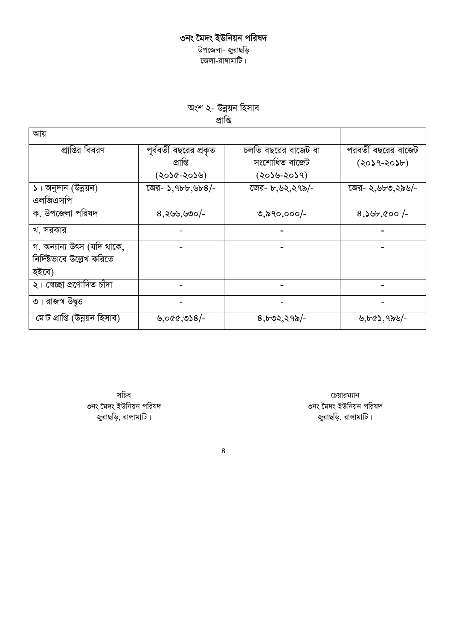#### ৩নং মৈদং ইউনিয়ন পরিষদ *Dc‡Rjv- RyivQwo কে*লা-রাঙ্গামাটি।

অংশ ২- উন্নয়ন হিসাব *cÖvwß*

| আয়                                                               |                                                    |                                                         |                                        |
|-------------------------------------------------------------------|----------------------------------------------------|---------------------------------------------------------|----------------------------------------|
| প্রাপ্তির বিবরণ                                                   | পূর্ববর্তী বছরের প্রকৃত<br>প্ৰাপ্তি<br>(২০১৫-২০১৬) | চলতি বছরের বাজেট বা<br>সংশোধিত বাজেট<br>$(2059 - 2059)$ | পরবর্তী বছরের বাজেট<br>$(2029 - 2056)$ |
| ১। অনুদান (উন্নয়ন)<br>এলজিএসপি                                   | জের- ১, ৭৮৮, ৬৮৪/-                                 | জের- ৮,৬২,২৭৯/-                                         | জের- ২,৬৮৩,২৯৬/-                       |
| ক. উপজেলা পরিষদ                                                   | $8,885,80/$ -                                      | ৩,৯৭০,০০০/-                                             | $8,305,000$ /-                         |
| খ. সরকার                                                          |                                                    |                                                         |                                        |
| গ. অন্যান্য উৎস (যদি থাকে,<br>নির্দিষ্টভাবে উল্লেখ করিতে<br>হইবে) |                                                    |                                                         |                                        |
| ২। স্বেচ্ছা প্রণোদিত চাঁদা                                        |                                                    |                                                         |                                        |
| ৩। রাজস্ব উদ্বত্ত                                                 |                                                    |                                                         |                                        |
| মোট প্ৰাপ্তি (উন্নয়ন হিসাব)                                      | ৬,০৫৫,৩১৪/-                                        | $8,502,295/-$                                           | ৬,৮৫১,৭৯৬/-                            |

সচিব ৩নং মৈদং ইউনিয়ন পরিষদ জুরাছড়ি, রাঙ্গামাটি।

চেয়ারম্যান ৩নং মৈদং ইউনিয়ন পরিষদ জুরাছড়ি, রাঙ্গামাটি।

*4*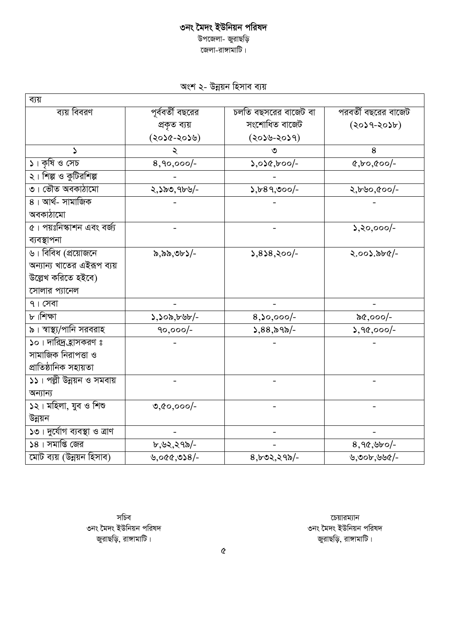## ৩নং মৈদং ইউনিয়ন পরিষদ উপজেলা- জুরাছড়ি

জেলা-রাঙ্গামাটি।

|  | অংশ ২- উন্নয়ন হিসাব ব্যয় |  |
|--|----------------------------|--|
|  |                            |  |

| ব্যয়                                         |                  |                      |                                    |
|-----------------------------------------------|------------------|----------------------|------------------------------------|
| ব্যয় বিবরণ                                   | পূর্ববর্তী বছরের | চলতি বছসরের বাজেট বা | পরবর্তী বছরের বাজেট                |
|                                               | প্ৰকৃত ব্যয়     | সংশোধিত বাজেট        | $(2059 - 2056)$                    |
|                                               | (২০১৫-২০১৬)      | $(205 - 2059)$       |                                    |
| Z.                                            | ২                | ৩                    | 8                                  |
| ১। কৃষি ও সেচ                                 | $8,90,000/-$     | $5,050,000$ -        | $&0,000/-$                         |
| ২। শিল্প ও কুটিরশিল্প                         |                  |                      |                                    |
| ৩। ভৌত অবকাঠামো                               | ২,১৯৩,৭৮৬/-      | $5,689,900/-$        | $2,690,600/-$                      |
| 8। আৰ্থ- সামাজিক                              |                  |                      |                                    |
| অবকাঠামো                                      |                  |                      |                                    |
| $\overline{\alpha}$ । পয়ঃনিস্কাশন এবং বর্জ্য |                  |                      | $\lambda, \lambda, \infty, \infty$ |
| ব্যবস্থাপনা                                   |                  |                      |                                    |
| $\overline{B}$ । বিবিধ (প্রয়োজনে             | ৯,৯৯,৩৮১/-       | $5,858,800$ -        | ২.০০১.৯৮৫/-                        |
| অন্যান্য খাতের এইরূপ ব্যয়                    |                  |                      |                                    |
| উল্লেখ করিতে হইবে)                            |                  |                      |                                    |
| সোলার প্যানেল                                 |                  |                      |                                    |
| $9.1$ সেবা                                    |                  |                      |                                    |
| ৮।শিক্ষা                                      | 5,500,555        | $8,0,000/-$          | ৯৫,০০০/-                           |
| ৯। স্বাস্থ্য/পানি সরবরাহ                      | $90,000/-$       | $5,88,89$ -          | $3,90,000/-$                       |
| ১০। দারিদ্র হ্রাসকরণ ঃ                        |                  |                      |                                    |
| সামাজিক নিরাপত্তা ও                           |                  |                      |                                    |
| প্ৰাতিষ্ঠানিক সহায়তা                         |                  |                      |                                    |
| ১১। পল্লী উন্নয়ন ও সমবায়                    |                  |                      |                                    |
| অন্যান্য                                      |                  |                      |                                    |
| ১২। মহিলা, যুব ও শিশু                         | $0,00,000/-$     |                      |                                    |
| উন্নয়ন                                       |                  |                      |                                    |
| ১৩। দুর্যোগ ব্যবস্থা ও ত্রাণ                  |                  |                      |                                    |
| $58$ । সমাপ্তি জের                            | ৮,৬২,২৭৯/-       |                      | $8,90,900$ -                       |
| মোট ব্যয় (উন্নয়ন হিসাব)                     | $-3860,008/$     | $8,602,295/-$        | ৬,৩০৮,৬৬৫/-                        |

সচিব ৩নং মৈদং ইউনিয়ন পরিষদ জুরাছড়ি, রাঙ্গামাটি।

চেয়ারম্যান ৩নং মৈদং ইউনিয়ন পরিষদ জুরাছড়ি, রাঙ্গামাটি।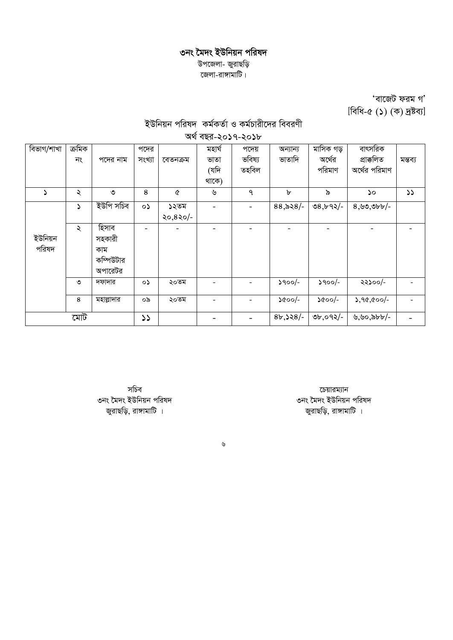## ৩নং মৈদং ইউনিয়ন পরিষদ *Dc‡Rjv- RyivQwo দ্জে*লা-রাঙ্গামাটি।

*Ôev‡RU dig MÕ* [বিধি-৫ (১) (ক) দ্ৰষ্টব্য]

# *BDwbqb cwil` Kg©KZ©v I Kg©Pvix‡`i weeiYx*

| অৰ্থ বছর-২০১৭-২০১৮ |        |            |               |          |        |        |             |               |               |               |
|--------------------|--------|------------|---------------|----------|--------|--------|-------------|---------------|---------------|---------------|
| বিভাগ/শাখা         | ক্ৰমিক |            | পদের          |          | মহাৰ্ঘ | পদেয়  | অন্যান্য    | মাসিক গড়     | বাৎসরিক       |               |
|                    | নং     | পদের নাম   | সংখ্যা        | বেতনক্ৰম | ভাতা   | ভবিষ্য | ভাতাদি      | অর্থের        | প্ৰাক্কলিত    | মন্তব্য       |
|                    |        |            |               |          | (যদি   | তহবিল  |             | পরিমাণ        | অর্থের পরিমাণ |               |
|                    |        |            |               |          | থাকে)  |        |             |               |               |               |
| ۵                  | ২      | ৩          | 8             | Q        | ৬      | ٩      | $\mathbf b$ | ৯             | ১০            | $\mathcal{L}$ |
|                    | د      | ইউপি সচিব  | $\circ$       | ১২তম     |        |        | $88,828$ /- | $08, b92/-$   | $8,99,966$ -  |               |
|                    |        |            |               | ২০,৪২০/- |        |        |             |               |               |               |
|                    | ২      | হিসাব      |               |          |        |        |             |               |               |               |
| ইউনিয়ন            |        | সহকারী     |               |          |        |        |             |               |               |               |
| পরিষদ              |        | কাম        |               |          |        |        |             |               |               |               |
|                    |        | কম্পিউটার  |               |          |        |        |             |               |               |               |
|                    |        | অপারেটর    |               |          |        |        |             |               |               |               |
|                    | ৩      | দফাদার     | ०১            | ২০তম     |        |        | $3900/-$    | $3900/-$      | ২২১০০/-       |               |
|                    | 8      | মহাল্লাদার | ০৯            | ২০তম     |        |        | ১৫০০/-      | $\delta$ 00/- | $5,90,00/$ -  |               |
|                    | মোট    |            | $\mathcal{L}$ |          |        |        | $8b,328/-$  | ৩৮,০৭২/-      | ৬,৬০,৯৮৮/-    |               |

সচিব ৩নং মৈদং ইউনিয়ন পরিষদ জুরাছড়ি, রাঙ্গামাটি ।

চেয়ারম্যান ৩নং মৈদং ইউনিয়ন পরিষদ জুরাছড়ি, রাঙ্গামাটি ।

*6*